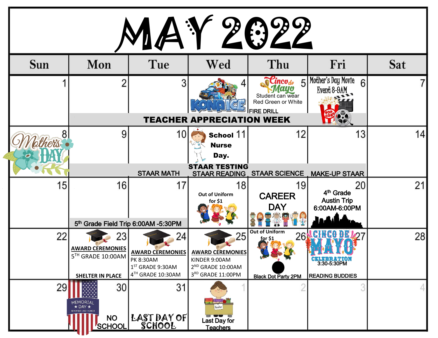